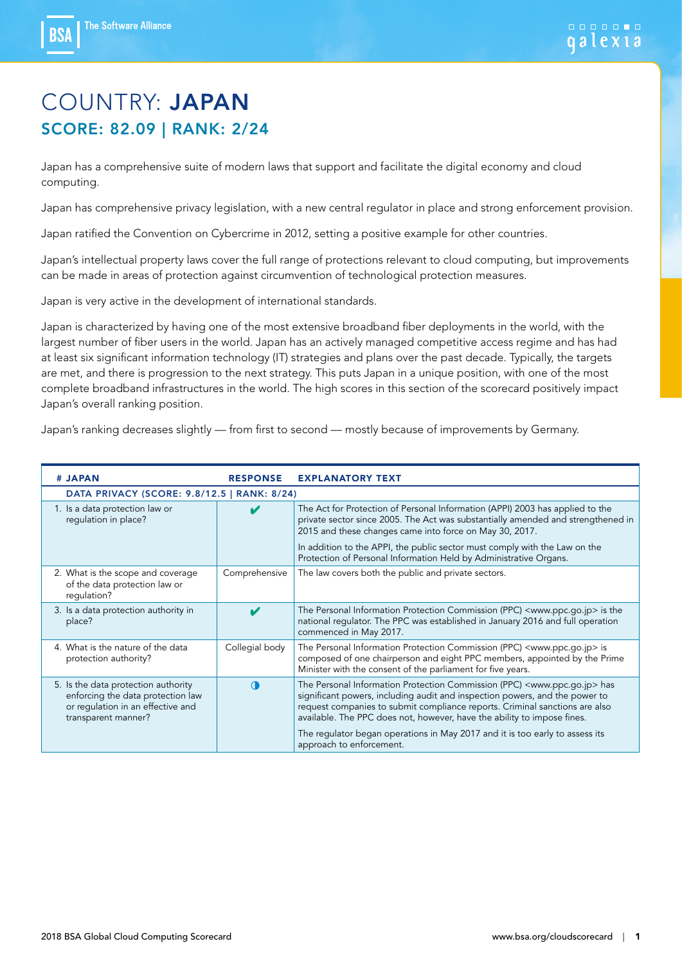**BS/** 

### COUNTRY: JAPAN SCORE: 82.09 | RANK: 2/24

Japan has a comprehensive suite of modern laws that support and facilitate the digital economy and cloud computing.

Japan has comprehensive privacy legislation, with a new central regulator in place and strong enforcement provision.

Japan ratified the Convention on Cybercrime in 2012, setting a positive example for other countries.

Japan's intellectual property laws cover the full range of protections relevant to cloud computing, but improvements can be made in areas of protection against circumvention of technological protection measures.

Japan is very active in the development of international standards.

Japan is characterized by having one of the most extensive broadband fiber deployments in the world, with the largest number of fiber users in the world. Japan has an actively managed competitive access regime and has had at least six significant information technology (IT) strategies and plans over the past decade. Typically, the targets are met, and there is progression to the next strategy. This puts Japan in a unique position, with one of the most complete broadband infrastructures in the world. The high scores in this section of the scorecard positively impact Japan's overall ranking position.

Japan's ranking decreases slightly — from first to second — mostly because of improvements by Germany.

| # JAPAN                                                                                                                              | <b>RESPONSE</b> | <b>EXPLANATORY TEXT</b>                                                                                                                                                                                                                                                                                                                                                                                                                            |
|--------------------------------------------------------------------------------------------------------------------------------------|-----------------|----------------------------------------------------------------------------------------------------------------------------------------------------------------------------------------------------------------------------------------------------------------------------------------------------------------------------------------------------------------------------------------------------------------------------------------------------|
| DATA PRIVACY (SCORE: 9.8/12.5   RANK: 8/24)                                                                                          |                 |                                                                                                                                                                                                                                                                                                                                                                                                                                                    |
| 1. Is a data protection law or<br>regulation in place?                                                                               |                 | The Act for Protection of Personal Information (APPI) 2003 has applied to the<br>private sector since 2005. The Act was substantially amended and strengthened in<br>2015 and these changes came into force on May 30, 2017.<br>In addition to the APPI, the public sector must comply with the Law on the<br>Protection of Personal Information Held by Administrative Organs.                                                                    |
| 2. What is the scope and coverage<br>of the data protection law or<br>requlation?                                                    | Comprehensive   | The law covers both the public and private sectors.                                                                                                                                                                                                                                                                                                                                                                                                |
| 3. Is a data protection authority in<br>place?                                                                                       | ✔               | The Personal Information Protection Commission (PPC) <www.ppc.go.jp> is the<br/>national requlator. The PPC was established in January 2016 and full operation<br/>commenced in May 2017.</www.ppc.go.jp>                                                                                                                                                                                                                                          |
| 4. What is the nature of the data<br>protection authority?                                                                           | Collegial body  | The Personal Information Protection Commission (PPC) <www.ppc.go.jp> is<br/>composed of one chairperson and eight PPC members, appointed by the Prime<br/>Minister with the consent of the parliament for five years.</www.ppc.go.jp>                                                                                                                                                                                                              |
| 5. Is the data protection authority<br>enforcing the data protection law<br>or regulation in an effective and<br>transparent manner? | $\bigcap$       | The Personal Information Protection Commission (PPC) <www.ppc.go.jp> has<br/>significant powers, including audit and inspection powers, and the power to<br/>request companies to submit compliance reports. Criminal sanctions are also<br/>available. The PPC does not, however, have the ability to impose fines.<br/>The regulator began operations in May 2017 and it is too early to assess its<br/>approach to enforcement.</www.ppc.go.jp> |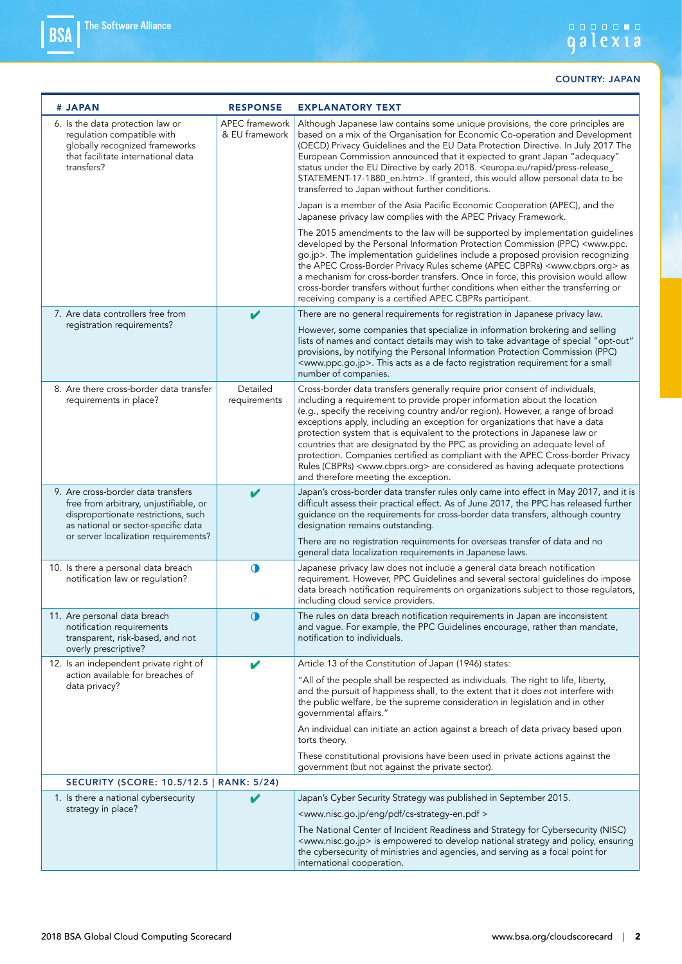| # JAPAN                                                                                                                                                                                            | <b>RESPONSE</b>                  | <b>EXPLANATORY TEXT</b>                                                                                                                                                                                                                                                                                                                                                                                                                                                                                                                                                                                                                                                                                         |
|----------------------------------------------------------------------------------------------------------------------------------------------------------------------------------------------------|----------------------------------|-----------------------------------------------------------------------------------------------------------------------------------------------------------------------------------------------------------------------------------------------------------------------------------------------------------------------------------------------------------------------------------------------------------------------------------------------------------------------------------------------------------------------------------------------------------------------------------------------------------------------------------------------------------------------------------------------------------------|
| 6. Is the data protection law or<br>regulation compatible with<br>globally recognized frameworks<br>that facilitate international data<br>transfers?                                               | APEC framework<br>& EU framework | Although Japanese law contains some unique provisions, the core principles are<br>based on a mix of the Organisation for Economic Co-operation and Development<br>(OECD) Privacy Guidelines and the EU Data Protection Directive. In July 2017 The<br>European Commission announced that it expected to grant Japan "adequacy"<br>status under the EU Directive by early 2018. < europa.eu/rapid/press-release_<br>STATEMENT-17-1880_en.htm>. If granted, this would allow personal data to be<br>transferred to Japan without further conditions.                                                                                                                                                              |
|                                                                                                                                                                                                    |                                  | Japan is a member of the Asia Pacific Economic Cooperation (APEC), and the<br>Japanese privacy law complies with the APEC Privacy Framework.                                                                                                                                                                                                                                                                                                                                                                                                                                                                                                                                                                    |
|                                                                                                                                                                                                    |                                  | The 2015 amendments to the law will be supported by implementation guidelines<br>developed by the Personal Information Protection Commission (PPC) <www.ppc.<br>go.jp&gt;. The implementation guidelines include a proposed provision recognizing<br/>the APEC Cross-Border Privacy Rules scheme (APEC CBPRs) <www.cbprs.org> as<br/>a mechanism for cross-border transfers. Once in force, this provision would allow<br/>cross-border transfers without further conditions when either the transferring or<br/>receiving company is a certified APEC CBPRs participant.</www.cbprs.org></www.ppc.<br>                                                                                                         |
| 7. Are data controllers free from                                                                                                                                                                  | V                                | There are no general requirements for registration in Japanese privacy law.                                                                                                                                                                                                                                                                                                                                                                                                                                                                                                                                                                                                                                     |
| registration requirements?                                                                                                                                                                         |                                  | However, some companies that specialize in information brokering and selling<br>lists of names and contact details may wish to take advantage of special "opt-out"<br>provisions, by notifying the Personal Information Protection Commission (PPC)<br><www.ppc.go.jp>. This acts as a de facto registration requirement for a small<br/>number of companies.</www.ppc.go.jp>                                                                                                                                                                                                                                                                                                                                   |
| 8. Are there cross-border data transfer<br>requirements in place?                                                                                                                                  | Detailed<br>requirements         | Cross-border data transfers generally require prior consent of individuals,<br>including a requirement to provide proper information about the location<br>(e.g., specify the receiving country and/or region). However, a range of broad<br>exceptions apply, including an exception for organizations that have a data<br>protection system that is equivalent to the protections in Japanese law or<br>countries that are designated by the PPC as providing an adequate level of<br>protection. Companies certified as compliant with the APEC Cross-border Privacy<br>Rules (CBPRs) <www.cbprs.org> are considered as having adequate protections<br/>and therefore meeting the exception.</www.cbprs.org> |
| 9. Are cross-border data transfers<br>free from arbitrary, unjustifiable, or<br>disproportionate restrictions, such<br>as national or sector-specific data<br>or server localization requirements? | V                                | Japan's cross-border data transfer rules only came into effect in May 2017, and it is<br>difficult assess their practical effect. As of June 2017, the PPC has released further<br>guidance on the requirements for cross-border data transfers, although country<br>designation remains outstanding.<br>There are no registration requirements for overseas transfer of data and no<br>general data localization requirements in Japanese laws.                                                                                                                                                                                                                                                                |
| 10. Is there a personal data breach<br>notification law or regulation?                                                                                                                             | $\bullet$                        | Japanese privacy law does not include a general data breach notification<br>requirement. However, PPC Guidelines and several sectoral guidelines do impose<br>data breach notification requirements on organizations subject to those regulators,<br>including cloud service providers.                                                                                                                                                                                                                                                                                                                                                                                                                         |
| 11. Are personal data breach<br>notification requirements<br>transparent, risk-based, and not<br>overly prescriptive?                                                                              | $\bullet$                        | The rules on data breach notification requirements in Japan are inconsistent<br>and vague. For example, the PPC Guidelines encourage, rather than mandate,<br>notification to individuals.                                                                                                                                                                                                                                                                                                                                                                                                                                                                                                                      |
| 12. Is an independent private right of                                                                                                                                                             | V                                | Article 13 of the Constitution of Japan (1946) states:                                                                                                                                                                                                                                                                                                                                                                                                                                                                                                                                                                                                                                                          |
| action available for breaches of<br>data privacy?                                                                                                                                                  |                                  | "All of the people shall be respected as individuals. The right to life, liberty,<br>and the pursuit of happiness shall, to the extent that it does not interfere with<br>the public welfare, be the supreme consideration in legislation and in other<br>qovernmental affairs."                                                                                                                                                                                                                                                                                                                                                                                                                                |
|                                                                                                                                                                                                    |                                  | An individual can initiate an action against a breach of data privacy based upon<br>torts theory.                                                                                                                                                                                                                                                                                                                                                                                                                                                                                                                                                                                                               |
|                                                                                                                                                                                                    |                                  | These constitutional provisions have been used in private actions against the<br>government (but not against the private sector).                                                                                                                                                                                                                                                                                                                                                                                                                                                                                                                                                                               |
| <b>SECURITY (SCORE: 10.5/12.5   RANK: 5/24)</b>                                                                                                                                                    |                                  |                                                                                                                                                                                                                                                                                                                                                                                                                                                                                                                                                                                                                                                                                                                 |
| 1. Is there a national cybersecurity                                                                                                                                                               |                                  | Japan's Cyber Security Strategy was published in September 2015.                                                                                                                                                                                                                                                                                                                                                                                                                                                                                                                                                                                                                                                |
| strategy in place?                                                                                                                                                                                 |                                  | <www.nisc.go.jp cs-strategy-en.pdf="" eng="" pdf=""></www.nisc.go.jp>                                                                                                                                                                                                                                                                                                                                                                                                                                                                                                                                                                                                                                           |
|                                                                                                                                                                                                    |                                  | The National Center of Incident Readiness and Strategy for Cybersecurity (NISC)<br><www.nisc.go.jp> is empowered to develop national strategy and policy, ensuring<br/>the cybersecurity of ministries and agencies, and serving as a focal point for<br/>international cooperation.</www.nisc.go.jp>                                                                                                                                                                                                                                                                                                                                                                                                           |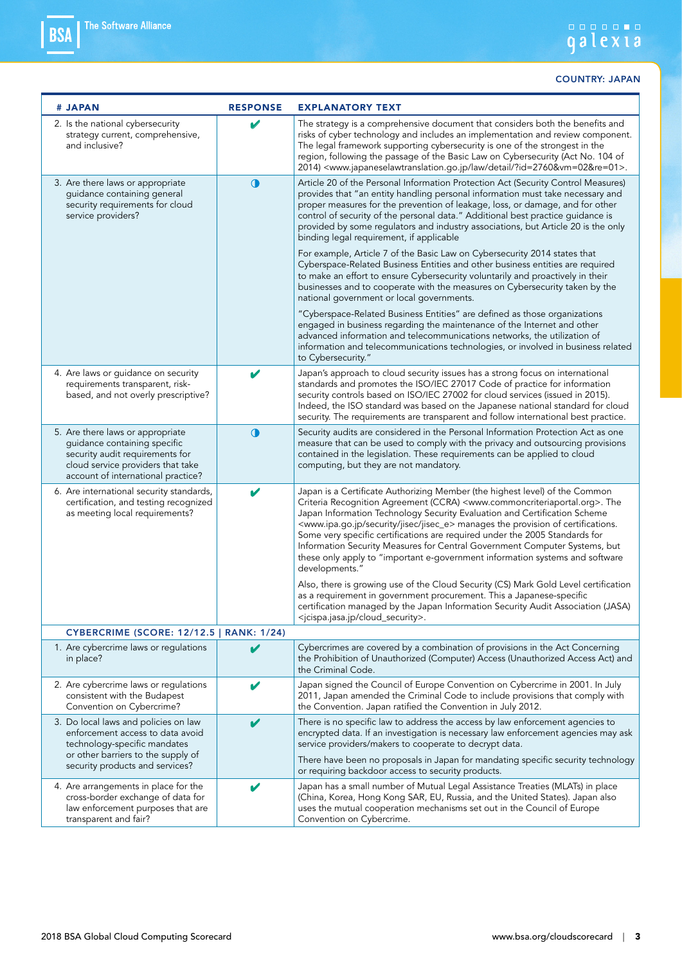| # JAPAN                                                                                                                                                                        | <b>RESPONSE</b> | <b>EXPLANATORY TEXT</b>                                                                                                                                                                                                                                                                                                                                                                                                                                                                                                                                                                                                                               |
|--------------------------------------------------------------------------------------------------------------------------------------------------------------------------------|-----------------|-------------------------------------------------------------------------------------------------------------------------------------------------------------------------------------------------------------------------------------------------------------------------------------------------------------------------------------------------------------------------------------------------------------------------------------------------------------------------------------------------------------------------------------------------------------------------------------------------------------------------------------------------------|
| 2. Is the national cybersecurity<br>strategy current, comprehensive,<br>and inclusive?                                                                                         | V               | The strategy is a comprehensive document that considers both the benefits and<br>risks of cyber technology and includes an implementation and review component.<br>The legal framework supporting cybersecurity is one of the strongest in the<br>region, following the passage of the Basic Law on Cybersecurity (Act No. 104 of<br>2014) <www.japaneselawtranslation.go.jp ?id="2760&amp;vm=02&amp;re=01" detail="" law="">.</www.japaneselawtranslation.go.jp>                                                                                                                                                                                     |
| 3. Are there laws or appropriate<br>guidance containing general<br>security requirements for cloud<br>service providers?                                                       | $\bigcirc$      | Article 20 of the Personal Information Protection Act (Security Control Measures)<br>provides that "an entity handling personal information must take necessary and<br>proper measures for the prevention of leakage, loss, or damage, and for other<br>control of security of the personal data." Additional best practice guidance is<br>provided by some regulators and industry associations, but Article 20 is the only<br>binding legal requirement, if applicable                                                                                                                                                                              |
|                                                                                                                                                                                |                 | For example, Article 7 of the Basic Law on Cybersecurity 2014 states that<br>Cyberspace-Related Business Entities and other business entities are required<br>to make an effort to ensure Cybersecurity voluntarily and proactively in their<br>businesses and to cooperate with the measures on Cybersecurity taken by the<br>national government or local governments.                                                                                                                                                                                                                                                                              |
|                                                                                                                                                                                |                 | "Cyberspace-Related Business Entities" are defined as those organizations<br>engaged in business regarding the maintenance of the Internet and other<br>advanced information and telecommunications networks, the utilization of<br>information and telecommunications technologies, or involved in business related<br>to Cybersecurity."                                                                                                                                                                                                                                                                                                            |
| 4. Are laws or guidance on security<br>requirements transparent, risk-<br>based, and not overly prescriptive?                                                                  | V               | Japan's approach to cloud security issues has a strong focus on international<br>standards and promotes the ISO/IEC 27017 Code of practice for information<br>security controls based on ISO/IEC 27002 for cloud services (issued in 2015).<br>Indeed, the ISO standard was based on the Japanese national standard for cloud<br>security. The requirements are transparent and follow international best practice.                                                                                                                                                                                                                                   |
| 5. Are there laws or appropriate<br>guidance containing specific<br>security audit requirements for<br>cloud service providers that take<br>account of international practice? | $\mathbf 0$     | Security audits are considered in the Personal Information Protection Act as one<br>measure that can be used to comply with the privacy and outsourcing provisions<br>contained in the legislation. These requirements can be applied to cloud<br>computing, but they are not mandatory.                                                                                                                                                                                                                                                                                                                                                              |
| 6. Are international security standards,<br>certification, and testing recognized<br>as meeting local requirements?                                                            |                 | Japan is a Certificate Authorizing Member (the highest level) of the Common<br>Criteria Recognition Agreement (CCRA) <www.commoncriteriaportal.org>. The<br/>Japan Information Technology Security Evaluation and Certification Scheme<br/><www.ipa.go.jp jisec="" jisec_e="" security=""> manages the provision of certifications.<br/>Some very specific certifications are required under the 2005 Standards for<br/>Information Security Measures for Central Government Computer Systems, but<br/>these only apply to "important e-government information systems and software<br/>developments."</www.ipa.go.jp></www.commoncriteriaportal.org> |
|                                                                                                                                                                                |                 | Also, there is growing use of the Cloud Security (CS) Mark Gold Level certification<br>as a requirement in government procurement. This a Japanese-specific<br>certification managed by the Japan Information Security Audit Association (JASA)<br><jcispa.jasa.jp cloud_security="">.</jcispa.jasa.jp>                                                                                                                                                                                                                                                                                                                                               |
| CYBERCRIME (SCORE: 12/12.5   RANK: 1/24)                                                                                                                                       |                 |                                                                                                                                                                                                                                                                                                                                                                                                                                                                                                                                                                                                                                                       |
| 1. Are cybercrime laws or regulations<br>in place?                                                                                                                             | V               | Cybercrimes are covered by a combination of provisions in the Act Concerning<br>the Prohibition of Unauthorized (Computer) Access (Unauthorized Access Act) and<br>the Criminal Code.                                                                                                                                                                                                                                                                                                                                                                                                                                                                 |
| 2. Are cybercrime laws or regulations<br>consistent with the Budapest<br>Convention on Cybercrime?                                                                             |                 | Japan signed the Council of Europe Convention on Cybercrime in 2001. In July<br>2011, Japan amended the Criminal Code to include provisions that comply with<br>the Convention. Japan ratified the Convention in July 2012.                                                                                                                                                                                                                                                                                                                                                                                                                           |
| 3. Do local laws and policies on law<br>enforcement access to data avoid<br>technology-specific mandates<br>or other barriers to the supply of                                 | V               | There is no specific law to address the access by law enforcement agencies to<br>encrypted data. If an investigation is necessary law enforcement agencies may ask<br>service providers/makers to cooperate to decrypt data.                                                                                                                                                                                                                                                                                                                                                                                                                          |
| security products and services?                                                                                                                                                |                 | There have been no proposals in Japan for mandating specific security technology<br>or requiring backdoor access to security products.                                                                                                                                                                                                                                                                                                                                                                                                                                                                                                                |
| 4. Are arrangements in place for the<br>cross-border exchange of data for<br>law enforcement purposes that are<br>transparent and fair?                                        | v               | Japan has a small number of Mutual Legal Assistance Treaties (MLATs) in place<br>(China, Korea, Hong Kong SAR, EU, Russia, and the United States). Japan also<br>uses the mutual cooperation mechanisms set out in the Council of Europe<br>Convention on Cybercrime.                                                                                                                                                                                                                                                                                                                                                                                 |
|                                                                                                                                                                                |                 |                                                                                                                                                                                                                                                                                                                                                                                                                                                                                                                                                                                                                                                       |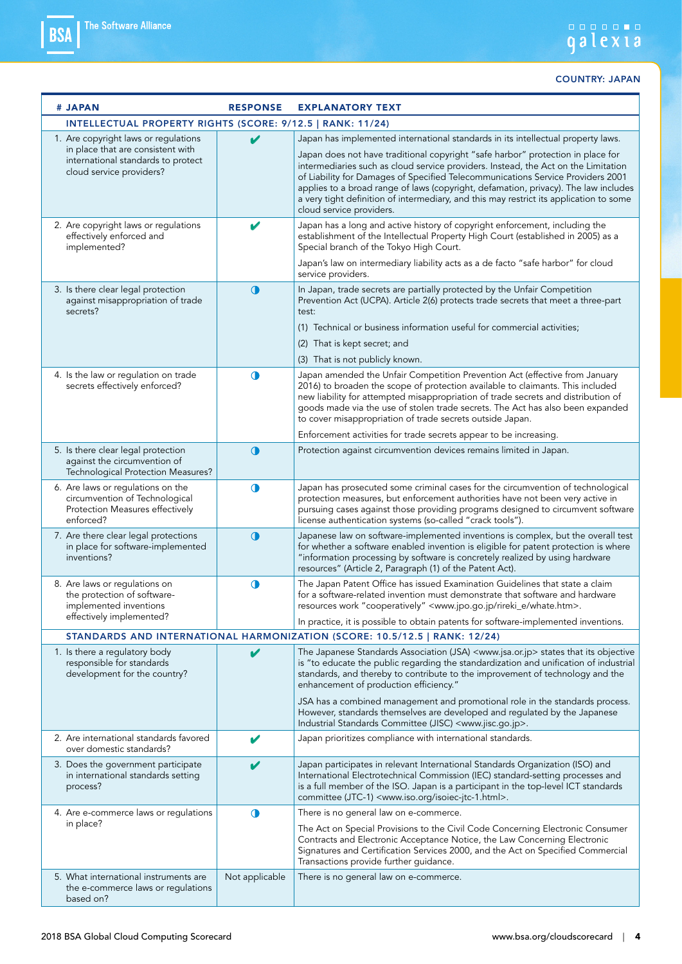| # JAPAN                                                                                                                                     | <b>RESPONSE</b> | <b>EXPLANATORY TEXT</b>                                                                                                                                                                                                                                                                                                                                                                                                                                                                                                                                   |
|---------------------------------------------------------------------------------------------------------------------------------------------|-----------------|-----------------------------------------------------------------------------------------------------------------------------------------------------------------------------------------------------------------------------------------------------------------------------------------------------------------------------------------------------------------------------------------------------------------------------------------------------------------------------------------------------------------------------------------------------------|
| INTELLECTUAL PROPERTY RIGHTS (SCORE: 9/12.5   RANK: 11/24)                                                                                  |                 |                                                                                                                                                                                                                                                                                                                                                                                                                                                                                                                                                           |
| 1. Are copyright laws or regulations<br>in place that are consistent with<br>international standards to protect<br>cloud service providers? | V               | Japan has implemented international standards in its intellectual property laws.<br>Japan does not have traditional copyright "safe harbor" protection in place for<br>intermediaries such as cloud service providers. Instead, the Act on the Limitation<br>of Liability for Damages of Specified Telecommunications Service Providers 2001<br>applies to a broad range of laws (copyright, defamation, privacy). The law includes<br>a very tight definition of intermediary, and this may restrict its application to some<br>cloud service providers. |
| 2. Are copyright laws or regulations<br>effectively enforced and<br>implemented?                                                            | V               | Japan has a long and active history of copyright enforcement, including the<br>establishment of the Intellectual Property High Court (established in 2005) as a<br>Special branch of the Tokyo High Court.<br>Japan's law on intermediary liability acts as a de facto "safe harbor" for cloud                                                                                                                                                                                                                                                            |
| 3. Is there clear legal protection<br>against misappropriation of trade<br>secrets?                                                         | $\bigcirc$      | service providers.<br>In Japan, trade secrets are partially protected by the Unfair Competition<br>Prevention Act (UCPA). Article 2(6) protects trade secrets that meet a three-part<br>test:<br>(1) Technical or business information useful for commercial activities;<br>(2) That is kept secret; and<br>(3) That is not publicly known.                                                                                                                                                                                                               |
| 4. Is the law or regulation on trade<br>secrets effectively enforced?                                                                       | $\bullet$       | Japan amended the Unfair Competition Prevention Act (effective from January<br>2016) to broaden the scope of protection available to claimants. This included<br>new liability for attempted misappropriation of trade secrets and distribution of<br>goods made via the use of stolen trade secrets. The Act has also been expanded<br>to cover misappropriation of trade secrets outside Japan.<br>Enforcement activities for trade secrets appear to be increasing.                                                                                    |
| 5. Is there clear legal protection<br>against the circumvention of<br>Technological Protection Measures?                                    | $\bigcirc$      | Protection against circumvention devices remains limited in Japan.                                                                                                                                                                                                                                                                                                                                                                                                                                                                                        |
| 6. Are laws or regulations on the<br>circumvention of Technological<br>Protection Measures effectively<br>enforced?                         | $\bullet$       | Japan has prosecuted some criminal cases for the circumvention of technological<br>protection measures, but enforcement authorities have not been very active in<br>pursuing cases against those providing programs designed to circumvent software<br>license authentication systems (so-called "crack tools").                                                                                                                                                                                                                                          |
| 7. Are there clear legal protections<br>in place for software-implemented<br>inventions?                                                    | $\bigcirc$      | Japanese law on software-implemented inventions is complex, but the overall test<br>for whether a software enabled invention is eligible for patent protection is where<br>"information processing by software is concretely realized by using hardware<br>resources" (Article 2, Paragraph (1) of the Patent Act).                                                                                                                                                                                                                                       |
| 8. Are laws or regulations on<br>the protection of software-<br>implemented inventions<br>effectively implemented?                          | $\bigcirc$      | The Japan Patent Office has issued Examination Guidelines that state a claim<br>for a software-related invention must demonstrate that software and hardware<br>resources work "cooperatively" <www.jpo.go.jp rireki_e="" whate.htm="">.<br/>In practice, it is possible to obtain patents for software-implemented inventions.</www.jpo.go.jp>                                                                                                                                                                                                           |
|                                                                                                                                             |                 | STANDARDS AND INTERNATIONAL HARMONIZATION (SCORE: 10.5/12.5   RANK: 12/24)                                                                                                                                                                                                                                                                                                                                                                                                                                                                                |
| 1. Is there a regulatory body<br>responsible for standards<br>development for the country?                                                  | V               | The Japanese Standards Association (JSA) <www.jsa.or.jp> states that its objective<br/>is "to educate the public regarding the standardization and unification of industrial<br/>standards, and thereby to contribute to the improvement of technology and the<br/>enhancement of production efficiency."<br/>JSA has a combined management and promotional role in the standards process.<br/>However, standards themselves are developed and regulated by the Japanese</www.jsa.or.jp>                                                                  |
| 2. Are international standards favored                                                                                                      | v               | Industrial Standards Committee (JISC) <www.jisc.go.jp>.<br/>Japan prioritizes compliance with international standards.</www.jisc.go.jp>                                                                                                                                                                                                                                                                                                                                                                                                                   |
| over domestic standards?<br>3. Does the government participate<br>in international standards setting<br>process?                            | V               | Japan participates in relevant International Standards Organization (ISO) and<br>International Electrotechnical Commission (IEC) standard-setting processes and<br>is a full member of the ISO. Japan is a participant in the top-level ICT standards<br>committee (JTC-1) <www.iso.org isoiec-jtc-1.html="">.</www.iso.org>                                                                                                                                                                                                                              |
| 4. Are e-commerce laws or regulations<br>in place?                                                                                          | $\bullet$       | There is no general law on e-commerce.<br>The Act on Special Provisions to the Civil Code Concerning Electronic Consumer<br>Contracts and Electronic Acceptance Notice, the Law Concerning Electronic<br>Signatures and Certification Services 2000, and the Act on Specified Commercial<br>Transactions provide further guidance.                                                                                                                                                                                                                        |
| 5. What international instruments are<br>the e-commerce laws or regulations<br>based on?                                                    | Not applicable  | There is no general law on e-commerce.                                                                                                                                                                                                                                                                                                                                                                                                                                                                                                                    |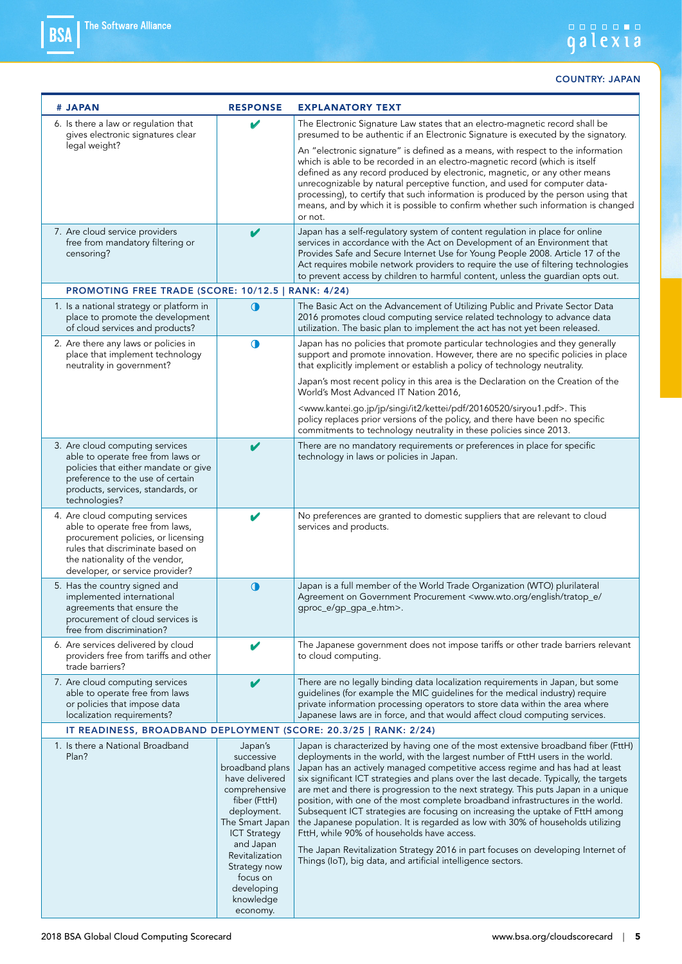### galexia

| # JAPAN                                                                                                                                                                                                           | <b>RESPONSE</b>                                                                                                                                                                                                                                        | <b>EXPLANATORY TEXT</b>                                                                                                                                                                                                                                                                                                                                                                                                                                                                                                                                                                                                                                                                                                                                                                                                                                                                    |
|-------------------------------------------------------------------------------------------------------------------------------------------------------------------------------------------------------------------|--------------------------------------------------------------------------------------------------------------------------------------------------------------------------------------------------------------------------------------------------------|--------------------------------------------------------------------------------------------------------------------------------------------------------------------------------------------------------------------------------------------------------------------------------------------------------------------------------------------------------------------------------------------------------------------------------------------------------------------------------------------------------------------------------------------------------------------------------------------------------------------------------------------------------------------------------------------------------------------------------------------------------------------------------------------------------------------------------------------------------------------------------------------|
| 6. Is there a law or regulation that<br>gives electronic signatures clear<br>legal weight?                                                                                                                        | v                                                                                                                                                                                                                                                      | The Electronic Signature Law states that an electro-magnetic record shall be<br>presumed to be authentic if an Electronic Signature is executed by the signatory.                                                                                                                                                                                                                                                                                                                                                                                                                                                                                                                                                                                                                                                                                                                          |
|                                                                                                                                                                                                                   |                                                                                                                                                                                                                                                        | An "electronic signature" is defined as a means, with respect to the information<br>which is able to be recorded in an electro-magnetic record (which is itself<br>defined as any record produced by electronic, magnetic, or any other means<br>unrecognizable by natural perceptive function, and used for computer data-<br>processing), to certify that such information is produced by the person using that<br>means, and by which it is possible to confirm whether such information is changed<br>or not.                                                                                                                                                                                                                                                                                                                                                                          |
| 7. Are cloud service providers<br>free from mandatory filtering or<br>censoring?                                                                                                                                  | V                                                                                                                                                                                                                                                      | Japan has a self-regulatory system of content regulation in place for online<br>services in accordance with the Act on Development of an Environment that<br>Provides Safe and Secure Internet Use for Young People 2008. Article 17 of the<br>Act requires mobile network providers to require the use of filtering technologies<br>to prevent access by children to harmful content, unless the guardian opts out.                                                                                                                                                                                                                                                                                                                                                                                                                                                                       |
| PROMOTING FREE TRADE (SCORE: 10/12.5   RANK: 4/24)                                                                                                                                                                |                                                                                                                                                                                                                                                        |                                                                                                                                                                                                                                                                                                                                                                                                                                                                                                                                                                                                                                                                                                                                                                                                                                                                                            |
| 1. Is a national strategy or platform in<br>place to promote the development<br>of cloud services and products?                                                                                                   | $\mathbf 0$                                                                                                                                                                                                                                            | The Basic Act on the Advancement of Utilizing Public and Private Sector Data<br>2016 promotes cloud computing service related technology to advance data<br>utilization. The basic plan to implement the act has not yet been released.                                                                                                                                                                                                                                                                                                                                                                                                                                                                                                                                                                                                                                                    |
| 2. Are there any laws or policies in<br>place that implement technology<br>neutrality in government?                                                                                                              | $\bigcirc$                                                                                                                                                                                                                                             | Japan has no policies that promote particular technologies and they generally<br>support and promote innovation. However, there are no specific policies in place<br>that explicitly implement or establish a policy of technology neutrality.                                                                                                                                                                                                                                                                                                                                                                                                                                                                                                                                                                                                                                             |
|                                                                                                                                                                                                                   |                                                                                                                                                                                                                                                        | Japan's most recent policy in this area is the Declaration on the Creation of the<br>World's Most Advanced IT Nation 2016,                                                                                                                                                                                                                                                                                                                                                                                                                                                                                                                                                                                                                                                                                                                                                                 |
|                                                                                                                                                                                                                   |                                                                                                                                                                                                                                                        | <www.kantei.go.jp 20160520="" it2="" jp="" kettei="" pdf="" singi="" siryou1.pdf="">. This<br/>policy replaces prior versions of the policy, and there have been no specific<br/>commitments to technology neutrality in these policies since 2013.</www.kantei.go.jp>                                                                                                                                                                                                                                                                                                                                                                                                                                                                                                                                                                                                                     |
| 3. Are cloud computing services<br>able to operate free from laws or<br>policies that either mandate or give<br>preference to the use of certain<br>products, services, standards, or<br>technologies?            | V                                                                                                                                                                                                                                                      | There are no mandatory requirements or preferences in place for specific<br>technology in laws or policies in Japan.                                                                                                                                                                                                                                                                                                                                                                                                                                                                                                                                                                                                                                                                                                                                                                       |
| 4. Are cloud computing services<br>able to operate free from laws,<br>procurement policies, or licensing<br>rules that discriminate based on<br>the nationality of the vendor,<br>developer, or service provider? | V                                                                                                                                                                                                                                                      | No preferences are granted to domestic suppliers that are relevant to cloud<br>services and products.                                                                                                                                                                                                                                                                                                                                                                                                                                                                                                                                                                                                                                                                                                                                                                                      |
| 5. Has the country signed and<br>implemented international<br>agreements that ensure the<br>procurement of cloud services is<br>free from discrimination?                                                         | $\mathbf 0$                                                                                                                                                                                                                                            | Japan is a full member of the World Trade Organization (WTO) plurilateral<br>Agreement on Government Procurement <www.wto.org <br="" english="" tratop_e="">gproc_e/gp_gpa_e.htm&gt;.</www.wto.org>                                                                                                                                                                                                                                                                                                                                                                                                                                                                                                                                                                                                                                                                                        |
| 6. Are services delivered by cloud<br>providers free from tariffs and other<br>trade barriers?                                                                                                                    | V                                                                                                                                                                                                                                                      | The Japanese government does not impose tariffs or other trade barriers relevant<br>to cloud computing.                                                                                                                                                                                                                                                                                                                                                                                                                                                                                                                                                                                                                                                                                                                                                                                    |
| 7. Are cloud computing services<br>able to operate free from laws<br>or policies that impose data<br>localization requirements?                                                                                   | V                                                                                                                                                                                                                                                      | There are no legally binding data localization requirements in Japan, but some<br>guidelines (for example the MIC guidelines for the medical industry) require<br>private information processing operators to store data within the area where<br>Japanese laws are in force, and that would affect cloud computing services.                                                                                                                                                                                                                                                                                                                                                                                                                                                                                                                                                              |
| IT READINESS, BROADBAND DEPLOYMENT (SCORE: 20.3/25   RANK: 2/24)                                                                                                                                                  |                                                                                                                                                                                                                                                        |                                                                                                                                                                                                                                                                                                                                                                                                                                                                                                                                                                                                                                                                                                                                                                                                                                                                                            |
| 1. Is there a National Broadband<br>Plan?                                                                                                                                                                         | Japan's<br>successive<br>broadband plans<br>have delivered<br>comprehensive<br>fiber (FttH)<br>deployment.<br>The Smart Japan<br><b>ICT Strategy</b><br>and Japan<br>Revitalization<br>Strategy now<br>focus on<br>developing<br>knowledge<br>economy. | Japan is characterized by having one of the most extensive broadband fiber (FttH)<br>deployments in the world, with the largest number of FttH users in the world.<br>Japan has an actively managed competitive access regime and has had at least<br>six significant ICT strategies and plans over the last decade. Typically, the targets<br>are met and there is progression to the next strategy. This puts Japan in a unique<br>position, with one of the most complete broadband infrastructures in the world.<br>Subsequent ICT strategies are focusing on increasing the uptake of FttH among<br>the Japanese population. It is regarded as low with 30% of households utilizing<br>FttH, while 90% of households have access.<br>The Japan Revitalization Strategy 2016 in part focuses on developing Internet of<br>Things (IoT), big data, and artificial intelligence sectors. |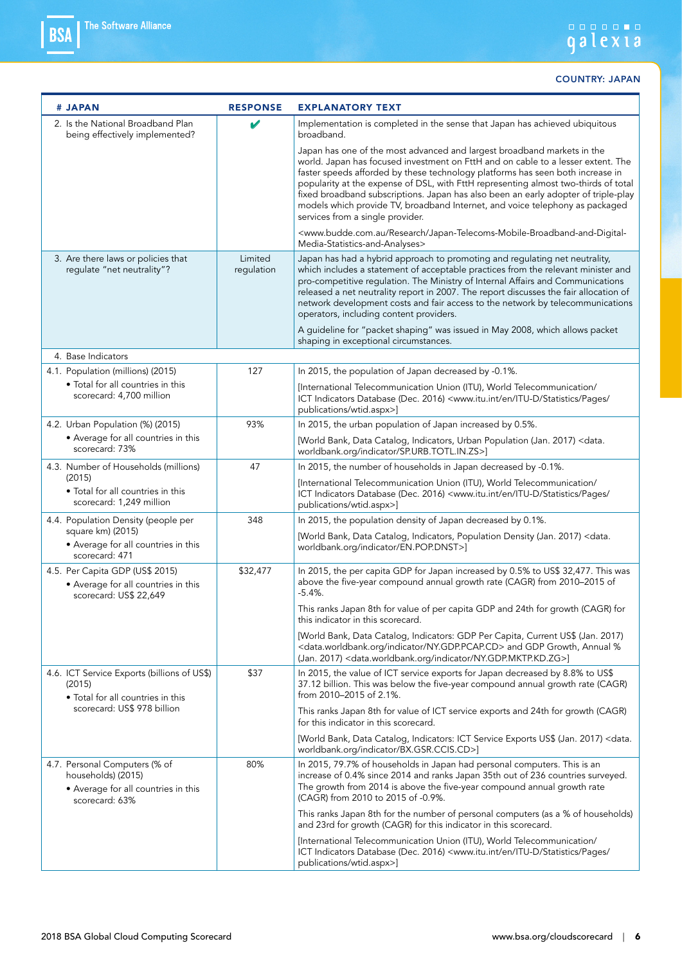| # JAPAN |                                                                                                              | <b>RESPONSE</b>       | <b>EXPLANATORY TEXT</b>                                                                                                                                                                                                                                                                                                                                                                                                                                                                                                                        |
|---------|--------------------------------------------------------------------------------------------------------------|-----------------------|------------------------------------------------------------------------------------------------------------------------------------------------------------------------------------------------------------------------------------------------------------------------------------------------------------------------------------------------------------------------------------------------------------------------------------------------------------------------------------------------------------------------------------------------|
|         | 2. Is the National Broadband Plan<br>being effectively implemented?                                          |                       | Implementation is completed in the sense that Japan has achieved ubiquitous<br>broadband.                                                                                                                                                                                                                                                                                                                                                                                                                                                      |
|         |                                                                                                              |                       | Japan has one of the most advanced and largest broadband markets in the<br>world. Japan has focused investment on FttH and on cable to a lesser extent. The<br>faster speeds afforded by these technology platforms has seen both increase in<br>popularity at the expense of DSL, with FttH representing almost two-thirds of total<br>fixed broadband subscriptions. Japan has also been an early adopter of triple-play<br>models which provide TV, broadband Internet, and voice telephony as packaged<br>services from a single provider. |
|         |                                                                                                              |                       | <www.budde.com.au japan-telecoms-mobile-broadband-and-digital-<br="" research="">Media-Statistics-and-Analyses&gt;</www.budde.com.au>                                                                                                                                                                                                                                                                                                                                                                                                          |
|         | 3. Are there laws or policies that<br>regulate "net neutrality"?                                             | Limited<br>regulation | Japan has had a hybrid approach to promoting and regulating net neutrality,<br>which includes a statement of acceptable practices from the relevant minister and<br>pro-competitive regulation. The Ministry of Internal Affairs and Communications<br>released a net neutrality report in 2007. The report discusses the fair allocation of<br>network development costs and fair access to the network by telecommunications<br>operators, including content providers.                                                                      |
|         |                                                                                                              |                       | A guideline for "packet shaping" was issued in May 2008, which allows packet<br>shaping in exceptional circumstances.                                                                                                                                                                                                                                                                                                                                                                                                                          |
|         | 4. Base Indicators                                                                                           |                       |                                                                                                                                                                                                                                                                                                                                                                                                                                                                                                                                                |
|         | 4.1. Population (millions) (2015)                                                                            | 127                   | In 2015, the population of Japan decreased by -0.1%.                                                                                                                                                                                                                                                                                                                                                                                                                                                                                           |
|         | • Total for all countries in this<br>scorecard: 4,700 million                                                |                       | [International Telecommunication Union (ITU), World Telecommunication/<br>ICT Indicators Database (Dec. 2016) <www.itu.int <br="" en="" itu-d="" pages="" statistics="">publications/wtid.aspx&gt;]</www.itu.int>                                                                                                                                                                                                                                                                                                                              |
|         | 4.2. Urban Population (%) (2015)                                                                             | 93%                   | In 2015, the urban population of Japan increased by 0.5%.                                                                                                                                                                                                                                                                                                                                                                                                                                                                                      |
|         | • Average for all countries in this<br>scorecard: 73%                                                        |                       | [World Bank, Data Catalog, Indicators, Urban Population (Jan. 2017) < data.<br>worldbank.org/indicator/SP.URB.TOTL.IN.ZS>]                                                                                                                                                                                                                                                                                                                                                                                                                     |
|         | 4.3. Number of Households (millions)                                                                         | 47                    | In 2015, the number of households in Japan decreased by -0.1%.                                                                                                                                                                                                                                                                                                                                                                                                                                                                                 |
| (2015)  | • Total for all countries in this<br>scorecard: 1,249 million                                                |                       | [International Telecommunication Union (ITU), World Telecommunication/<br>ICT Indicators Database (Dec. 2016) <www.itu.int <br="" en="" itu-d="" pages="" statistics="">publications/wtid.aspx&gt;]</www.itu.int>                                                                                                                                                                                                                                                                                                                              |
|         | 4.4. Population Density (people per                                                                          | 348                   | In 2015, the population density of Japan decreased by 0.1%.                                                                                                                                                                                                                                                                                                                                                                                                                                                                                    |
|         | square km) (2015)<br>• Average for all countries in this<br>scorecard: 471                                   |                       | [World Bank, Data Catalog, Indicators, Population Density (Jan. 2017) <data.<br>worldbank.org/indicator/EN.POP.DNST&gt;]</data.<br>                                                                                                                                                                                                                                                                                                                                                                                                            |
|         | 4.5. Per Capita GDP (US\$ 2015)<br>• Average for all countries in this<br>scorecard: US\$ 22,649             | \$32,477              | In 2015, the per capita GDP for Japan increased by 0.5% to US\$ 32,477. This was<br>above the five-year compound annual growth rate (CAGR) from 2010-2015 of<br>$-5.4\%$                                                                                                                                                                                                                                                                                                                                                                       |
|         |                                                                                                              |                       | This ranks Japan 8th for value of per capita GDP and 24th for growth (CAGR) for<br>this indicator in this scorecard.                                                                                                                                                                                                                                                                                                                                                                                                                           |
|         |                                                                                                              |                       | [World Bank, Data Catalog, Indicators: GDP Per Capita, Current US\$ (Jan. 2017)<br><data.worldbank.org indicator="" ny.gdp.pcap.cd=""> and GDP Growth, Annual %<br/>(Jan. 2017) &lt; data.worldbank.org/indicator/NY.GDP.MKTP.KD.ZG&gt;]</data.worldbank.org>                                                                                                                                                                                                                                                                                  |
|         | 4.6. ICT Service Exports (billions of US\$)<br>(2015)<br>• Total for all countries in this                   | \$37                  | In 2015, the value of ICT service exports for Japan decreased by 8.8% to US\$<br>37.12 billion. This was below the five-year compound annual growth rate (CAGR)<br>from 2010-2015 of 2.1%.                                                                                                                                                                                                                                                                                                                                                     |
|         | scorecard: US\$ 978 billion                                                                                  |                       | This ranks Japan 8th for value of ICT service exports and 24th for growth (CAGR)<br>for this indicator in this scorecard.                                                                                                                                                                                                                                                                                                                                                                                                                      |
|         |                                                                                                              |                       | [World Bank, Data Catalog, Indicators: ICT Service Exports US\$ (Jan. 2017) <data.<br>worldbank.org/indicator/BX.GSR.CCIS.CD&gt;]</data.<br>                                                                                                                                                                                                                                                                                                                                                                                                   |
|         | 4.7. Personal Computers (% of<br>households) (2015)<br>• Average for all countries in this<br>scorecard: 63% | 80%                   | In 2015, 79.7% of households in Japan had personal computers. This is an<br>increase of 0.4% since 2014 and ranks Japan 35th out of 236 countries surveyed.<br>The growth from 2014 is above the five-year compound annual growth rate<br>(CAGR) from 2010 to 2015 of -0.9%.                                                                                                                                                                                                                                                                   |
|         |                                                                                                              |                       | This ranks Japan 8th for the number of personal computers (as a % of households)<br>and 23rd for growth (CAGR) for this indicator in this scorecard.                                                                                                                                                                                                                                                                                                                                                                                           |
|         |                                                                                                              |                       | [International Telecommunication Union (ITU), World Telecommunication/<br>ICT Indicators Database (Dec. 2016) <www.itu.int <br="" en="" itu-d="" pages="" statistics="">publications/wtid.aspx&gt;]</www.itu.int>                                                                                                                                                                                                                                                                                                                              |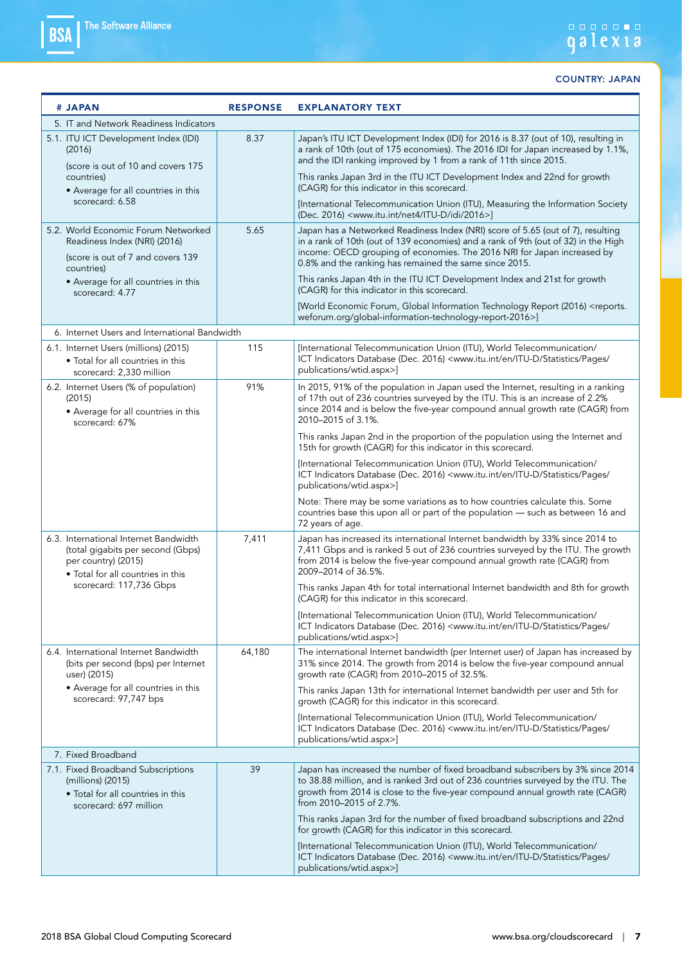### 

| # JAPAN                                                                                                                                | <b>RESPONSE</b> | <b>EXPLANATORY TEXT</b>                                                                                                                                                                                                                                                                                    |  |
|----------------------------------------------------------------------------------------------------------------------------------------|-----------------|------------------------------------------------------------------------------------------------------------------------------------------------------------------------------------------------------------------------------------------------------------------------------------------------------------|--|
| 5. IT and Network Readiness Indicators                                                                                                 |                 |                                                                                                                                                                                                                                                                                                            |  |
| 5.1. ITU ICT Development Index (IDI)<br>(2016)<br>(score is out of 10 and covers 175                                                   | 8.37            | Japan's ITU ICT Development Index (IDI) for 2016 is 8.37 (out of 10), resulting in<br>a rank of 10th (out of 175 economies). The 2016 IDI for Japan increased by 1.1%,<br>and the IDI ranking improved by 1 from a rank of 11th since 2015.                                                                |  |
| countries)<br>• Average for all countries in this                                                                                      |                 | This ranks Japan 3rd in the ITU ICT Development Index and 22nd for growth<br>(CAGR) for this indicator in this scorecard.                                                                                                                                                                                  |  |
| scorecard: 6.58                                                                                                                        |                 | [International Telecommunication Union (ITU), Measuring the Information Society<br>(Dec. 2016) <www.itu.int 2016="" idi="" itu-d="" net4="">]</www.itu.int>                                                                                                                                                |  |
| 5.2. World Economic Forum Networked<br>Readiness Index (NRI) (2016)<br>(score is out of 7 and covers 139<br>countries)                 | 5.65            | Japan has a Networked Readiness Index (NRI) score of 5.65 (out of 7), resulting<br>in a rank of 10th (out of 139 economies) and a rank of 9th (out of 32) in the High<br>income: OECD grouping of economies. The 2016 NRI for Japan increased by<br>0.8% and the ranking has remained the same since 2015. |  |
| • Average for all countries in this<br>scorecard: 4.77                                                                                 |                 | This ranks Japan 4th in the ITU ICT Development Index and 21st for growth<br>(CAGR) for this indicator in this scorecard.                                                                                                                                                                                  |  |
|                                                                                                                                        |                 | [World Economic Forum, Global Information Technology Report (2016) <reports.<br>weforum.org/global-information-technology-report-2016&gt;]</reports.<br>                                                                                                                                                   |  |
| 6. Internet Users and International Bandwidth                                                                                          |                 |                                                                                                                                                                                                                                                                                                            |  |
| 6.1. Internet Users (millions) (2015)<br>• Total for all countries in this<br>scorecard: 2,330 million                                 | 115             | [International Telecommunication Union (ITU), World Telecommunication/<br>ICT Indicators Database (Dec. 2016) <www.itu.int <br="" en="" itu-d="" pages="" statistics="">publications/wtid.aspx&gt;]</www.itu.int>                                                                                          |  |
| 6.2. Internet Users (% of population)<br>(2015)<br>• Average for all countries in this<br>scorecard: 67%                               | 91%             | In 2015, 91% of the population in Japan used the Internet, resulting in a ranking<br>of 17th out of 236 countries surveyed by the ITU. This is an increase of 2.2%<br>since 2014 and is below the five-year compound annual growth rate (CAGR) from<br>2010-2015 of 3.1%.                                  |  |
|                                                                                                                                        |                 | This ranks Japan 2nd in the proportion of the population using the Internet and<br>15th for growth (CAGR) for this indicator in this scorecard.                                                                                                                                                            |  |
|                                                                                                                                        |                 | [International Telecommunication Union (ITU), World Telecommunication/<br>ICT Indicators Database (Dec. 2016) <www.itu.int <br="" en="" itu-d="" pages="" statistics="">publications/wtid.aspx&gt;]</www.itu.int>                                                                                          |  |
|                                                                                                                                        |                 | Note: There may be some variations as to how countries calculate this. Some<br>countries base this upon all or part of the population - such as between 16 and<br>72 years of age.                                                                                                                         |  |
| 6.3. International Internet Bandwidth<br>(total gigabits per second (Gbps)<br>per country) (2015)<br>· Total for all countries in this | 7,411           | Japan has increased its international Internet bandwidth by 33% since 2014 to<br>7,411 Gbps and is ranked 5 out of 236 countries surveyed by the ITU. The growth<br>from 2014 is below the five-year compound annual growth rate (CAGR) from<br>2009-2014 of 36.5%.                                        |  |
| scorecard: 117,736 Gbps                                                                                                                |                 | This ranks Japan 4th for total international Internet bandwidth and 8th for growth<br>(CAGR) for this indicator in this scorecard.                                                                                                                                                                         |  |
|                                                                                                                                        |                 | [International Telecommunication Union (ITU), World Telecommunication/<br>ICT Indicators Database (Dec. 2016) <www.itu.int <br="" en="" itu-d="" pages="" statistics="">publications/wtid.aspx&gt;]</www.itu.int>                                                                                          |  |
| 6.4. International Internet Bandwidth<br>(bits per second (bps) per Internet<br>user) (2015)                                           | 64,180          | The international Internet bandwidth (per Internet user) of Japan has increased by<br>31% since 2014. The growth from 2014 is below the five-year compound annual<br>growth rate (CAGR) from 2010-2015 of 32.5%.                                                                                           |  |
| • Average for all countries in this<br>scorecard: 97,747 bps                                                                           |                 | This ranks Japan 13th for international Internet bandwidth per user and 5th for<br>growth (CAGR) for this indicator in this scorecard.                                                                                                                                                                     |  |
|                                                                                                                                        |                 | [International Telecommunication Union (ITU), World Telecommunication/<br>ICT Indicators Database (Dec. 2016) <www.itu.int <br="" en="" itu-d="" pages="" statistics="">publications/wtid.aspx&gt;]</www.itu.int>                                                                                          |  |
| 7. Fixed Broadband                                                                                                                     |                 |                                                                                                                                                                                                                                                                                                            |  |
| 7.1. Fixed Broadband Subscriptions<br>(millions) (2015)<br>• Total for all countries in this<br>scorecard: 697 million                 | 39              | Japan has increased the number of fixed broadband subscribers by 3% since 2014<br>to 38.88 million, and is ranked 3rd out of 236 countries surveyed by the ITU. The<br>growth from 2014 is close to the five-year compound annual growth rate (CAGR)<br>from 2010-2015 of 2.7%.                            |  |
|                                                                                                                                        |                 | This ranks Japan 3rd for the number of fixed broadband subscriptions and 22nd<br>for growth (CAGR) for this indicator in this scorecard.                                                                                                                                                                   |  |
|                                                                                                                                        |                 | [International Telecommunication Union (ITU), World Telecommunication/<br>ICT Indicators Database (Dec. 2016) <www.itu.int <br="" en="" itu-d="" pages="" statistics="">publications/wtid.aspx&gt;]</www.itu.int>                                                                                          |  |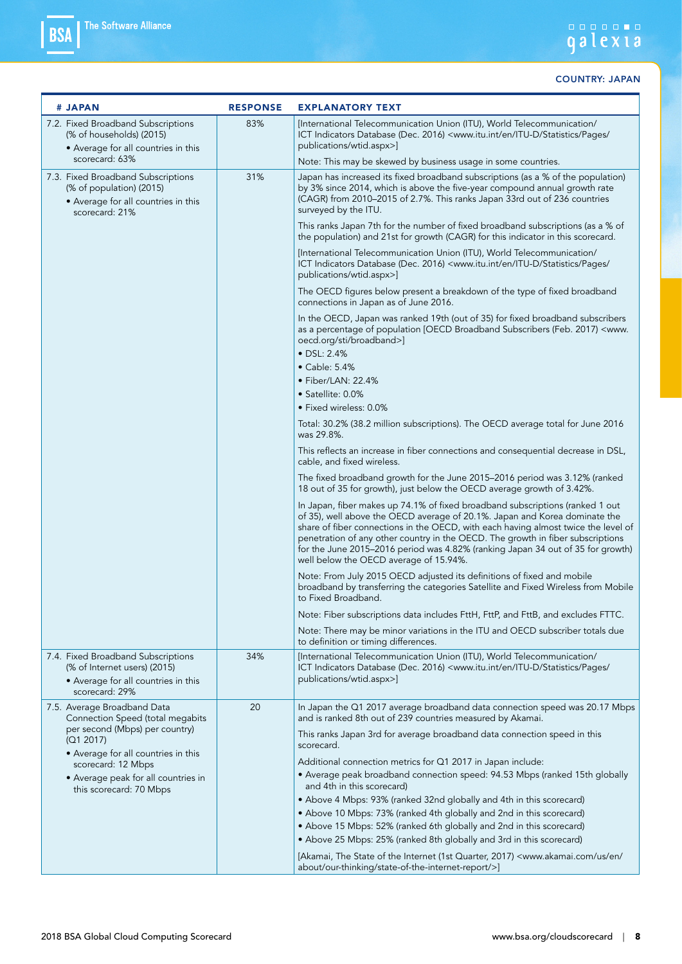| # JAPAN                                                                                                                     | <b>RESPONSE</b> | <b>EXPLANATORY TEXT</b>                                                                                                                                                                                                                                                                                                                                                                                                                                           |
|-----------------------------------------------------------------------------------------------------------------------------|-----------------|-------------------------------------------------------------------------------------------------------------------------------------------------------------------------------------------------------------------------------------------------------------------------------------------------------------------------------------------------------------------------------------------------------------------------------------------------------------------|
| 7.2. Fixed Broadband Subscriptions<br>(% of households) (2015)<br>• Average for all countries in this<br>scorecard: 63%     | 83%             | [International Telecommunication Union (ITU), World Telecommunication/<br>ICT Indicators Database (Dec. 2016) <www.itu.int <br="" en="" itu-d="" pages="" statistics="">publications/wtid.aspx&gt;]<br/>Note: This may be skewed by business usage in some countries.</www.itu.int>                                                                                                                                                                               |
| 7.3. Fixed Broadband Subscriptions<br>(% of population) (2015)<br>• Average for all countries in this<br>scorecard: 21%     | 31%             | Japan has increased its fixed broadband subscriptions (as a % of the population)<br>by 3% since 2014, which is above the five-year compound annual growth rate<br>(CAGR) from 2010–2015 of 2.7%. This ranks Japan 33rd out of 236 countries<br>surveyed by the ITU.                                                                                                                                                                                               |
|                                                                                                                             |                 | This ranks Japan 7th for the number of fixed broadband subscriptions (as a % of<br>the population) and 21st for growth (CAGR) for this indicator in this scorecard.                                                                                                                                                                                                                                                                                               |
|                                                                                                                             |                 | [International Telecommunication Union (ITU), World Telecommunication/<br>ICT Indicators Database (Dec. 2016) <www.itu.int <br="" en="" itu-d="" pages="" statistics="">publications/wtid.aspx&gt;]</www.itu.int>                                                                                                                                                                                                                                                 |
|                                                                                                                             |                 | The OECD figures below present a breakdown of the type of fixed broadband<br>connections in Japan as of June 2016.                                                                                                                                                                                                                                                                                                                                                |
|                                                                                                                             |                 | In the OECD, Japan was ranked 19th (out of 35) for fixed broadband subscribers<br>as a percentage of population [OECD Broadband Subscribers (Feb. 2017) <www.<br>oecd.org/sti/broadband&gt;]<br/><math>\bullet</math> DSL: 2.4%<br/><math>\bullet</math> Cable: 5.4%<br/><math>\bullet</math> Fiber/LAN: 22.4%<br/>• Satellite: 0.0%</www.<br>                                                                                                                    |
|                                                                                                                             |                 | • Fixed wireless: 0.0%                                                                                                                                                                                                                                                                                                                                                                                                                                            |
|                                                                                                                             |                 | Total: 30.2% (38.2 million subscriptions). The OECD average total for June 2016<br>was 29.8%.                                                                                                                                                                                                                                                                                                                                                                     |
|                                                                                                                             |                 | This reflects an increase in fiber connections and consequential decrease in DSL,<br>cable, and fixed wireless.                                                                                                                                                                                                                                                                                                                                                   |
|                                                                                                                             |                 | The fixed broadband growth for the June 2015-2016 period was 3.12% (ranked<br>18 out of 35 for growth), just below the OECD average growth of 3.42%.                                                                                                                                                                                                                                                                                                              |
|                                                                                                                             |                 | In Japan, fiber makes up 74.1% of fixed broadband subscriptions (ranked 1 out<br>of 35), well above the OECD average of 20.1%. Japan and Korea dominate the<br>share of fiber connections in the OECD, with each having almost twice the level of<br>penetration of any other country in the OECD. The growth in fiber subscriptions<br>for the June 2015–2016 period was 4.82% (ranking Japan 34 out of 35 for growth)<br>well below the OECD average of 15.94%. |
|                                                                                                                             |                 | Note: From July 2015 OECD adjusted its definitions of fixed and mobile<br>broadband by transferring the categories Satellite and Fixed Wireless from Mobile<br>to Fixed Broadband.                                                                                                                                                                                                                                                                                |
|                                                                                                                             |                 | Note: Fiber subscriptions data includes FttH, FttP, and FttB, and excludes FTTC.                                                                                                                                                                                                                                                                                                                                                                                  |
|                                                                                                                             |                 | Note: There may be minor variations in the ITU and OECD subscriber totals due<br>to definition or timing differences.                                                                                                                                                                                                                                                                                                                                             |
| 7.4. Fixed Broadband Subscriptions<br>(% of Internet users) (2015)<br>• Average for all countries in this<br>scorecard: 29% | 34%             | [International Telecommunication Union (ITU), World Telecommunication/<br>ICT Indicators Database (Dec. 2016) <www.itu.int <br="" en="" itu-d="" pages="" statistics="">publications/wtid.aspx&gt;]</www.itu.int>                                                                                                                                                                                                                                                 |
| 7.5. Average Broadband Data<br>Connection Speed (total megabits                                                             | 20              | In Japan the Q1 2017 average broadband data connection speed was 20.17 Mbps<br>and is ranked 8th out of 239 countries measured by Akamai.                                                                                                                                                                                                                                                                                                                         |
| per second (Mbps) per country)<br>(Q1 2017)                                                                                 |                 | This ranks Japan 3rd for average broadband data connection speed in this<br>scorecard.                                                                                                                                                                                                                                                                                                                                                                            |
| • Average for all countries in this<br>scorecard: 12 Mbps                                                                   |                 | Additional connection metrics for Q1 2017 in Japan include:                                                                                                                                                                                                                                                                                                                                                                                                       |
| • Average peak for all countries in<br>this scorecard: 70 Mbps                                                              |                 | • Average peak broadband connection speed: 94.53 Mbps (ranked 15th globally<br>and 4th in this scorecard)                                                                                                                                                                                                                                                                                                                                                         |
|                                                                                                                             |                 | • Above 4 Mbps: 93% (ranked 32nd globally and 4th in this scorecard)                                                                                                                                                                                                                                                                                                                                                                                              |
|                                                                                                                             |                 | • Above 10 Mbps: 73% (ranked 4th globally and 2nd in this scorecard)                                                                                                                                                                                                                                                                                                                                                                                              |
|                                                                                                                             |                 | • Above 15 Mbps: 52% (ranked 6th globally and 2nd in this scorecard)<br>• Above 25 Mbps: 25% (ranked 8th globally and 3rd in this scorecard)                                                                                                                                                                                                                                                                                                                      |
|                                                                                                                             |                 | [Akamai, The State of the Internet (1st Quarter, 2017) <www.akamai.com <br="" en="" us="">about/our-thinking/state-of-the-internet-report/&gt;]</www.akamai.com>                                                                                                                                                                                                                                                                                                  |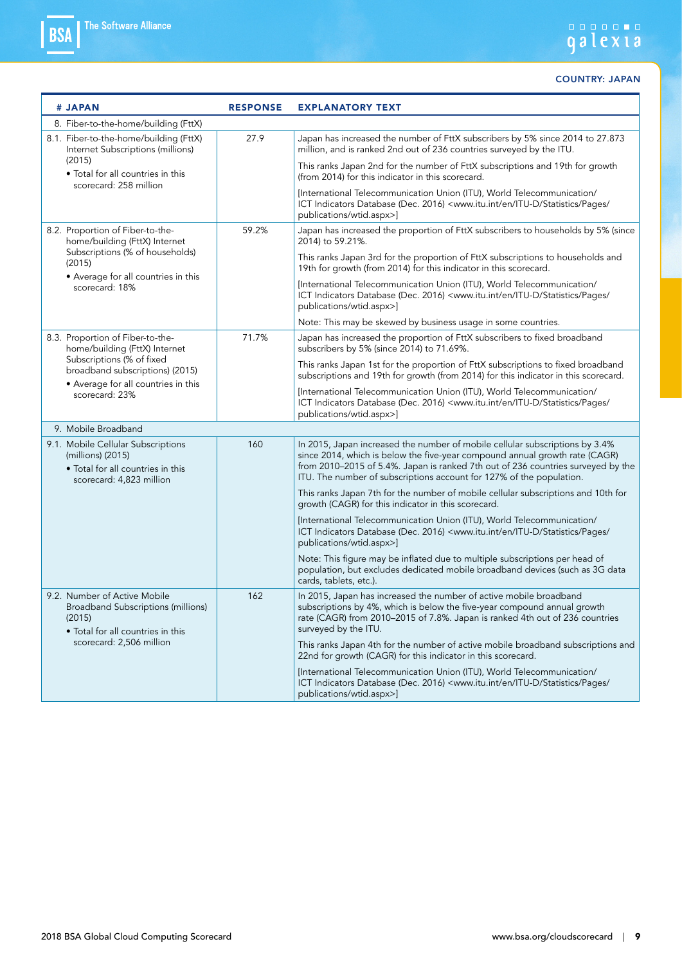# andon a

| # JAPAN                                                                                                                  | <b>RESPONSE</b> | <b>EXPLANATORY TEXT</b>                                                                                                                                                                                                                                                                                                 |
|--------------------------------------------------------------------------------------------------------------------------|-----------------|-------------------------------------------------------------------------------------------------------------------------------------------------------------------------------------------------------------------------------------------------------------------------------------------------------------------------|
| 8. Fiber-to-the-home/building (FttX)                                                                                     |                 |                                                                                                                                                                                                                                                                                                                         |
| 8.1. Fiber-to-the-home/building (FttX)<br>Internet Subscriptions (millions)                                              | 27.9            | Japan has increased the number of FttX subscribers by 5% since 2014 to 27.873<br>million, and is ranked 2nd out of 236 countries surveyed by the ITU.                                                                                                                                                                   |
| (2015)<br>• Total for all countries in this<br>scorecard: 258 million                                                    |                 | This ranks Japan 2nd for the number of FttX subscriptions and 19th for growth<br>(from 2014) for this indicator in this scorecard.                                                                                                                                                                                      |
|                                                                                                                          |                 | [International Telecommunication Union (ITU), World Telecommunication/<br>ICT Indicators Database (Dec. 2016) <www.itu.int <br="" en="" itu-d="" pages="" statistics="">publications/wtid.aspx&gt;]</www.itu.int>                                                                                                       |
| 8.2. Proportion of Fiber-to-the-<br>home/building (FttX) Internet                                                        | 59.2%           | Japan has increased the proportion of FttX subscribers to households by 5% (since<br>2014) to 59.21%.                                                                                                                                                                                                                   |
| Subscriptions (% of households)<br>(2015)                                                                                |                 | This ranks Japan 3rd for the proportion of FttX subscriptions to households and<br>19th for growth (from 2014) for this indicator in this scorecard.                                                                                                                                                                    |
| • Average for all countries in this<br>scorecard: 18%                                                                    |                 | [International Telecommunication Union (ITU), World Telecommunication/<br>ICT Indicators Database (Dec. 2016) <www.itu.int <br="" en="" itu-d="" pages="" statistics="">publications/wtid.aspx&gt;]</www.itu.int>                                                                                                       |
|                                                                                                                          |                 | Note: This may be skewed by business usage in some countries.                                                                                                                                                                                                                                                           |
| 8.3. Proportion of Fiber-to-the-<br>home/building (FttX) Internet                                                        | 71.7%           | Japan has increased the proportion of FttX subscribers to fixed broadband<br>subscribers by 5% (since 2014) to 71.69%.                                                                                                                                                                                                  |
| Subscriptions (% of fixed<br>broadband subscriptions) (2015)                                                             |                 | This ranks Japan 1st for the proportion of FttX subscriptions to fixed broadband<br>subscriptions and 19th for growth (from 2014) for this indicator in this scorecard.                                                                                                                                                 |
| • Average for all countries in this<br>scorecard: 23%                                                                    |                 | [International Telecommunication Union (ITU), World Telecommunication/<br>ICT Indicators Database (Dec. 2016) <www.itu.int <br="" en="" itu-d="" pages="" statistics="">publications/wtid.aspx&gt;]</www.itu.int>                                                                                                       |
| 9. Mobile Broadband                                                                                                      |                 |                                                                                                                                                                                                                                                                                                                         |
| 9.1. Mobile Cellular Subscriptions<br>(millions) (2015)<br>• Total for all countries in this<br>scorecard: 4,823 million | 160             | In 2015, Japan increased the number of mobile cellular subscriptions by 3.4%<br>since 2014, which is below the five-year compound annual growth rate (CAGR)<br>from 2010-2015 of 5.4%. Japan is ranked 7th out of 236 countries surveyed by the<br>ITU. The number of subscriptions account for 127% of the population. |
|                                                                                                                          |                 | This ranks Japan 7th for the number of mobile cellular subscriptions and 10th for<br>growth (CAGR) for this indicator in this scorecard.                                                                                                                                                                                |
|                                                                                                                          |                 | [International Telecommunication Union (ITU), World Telecommunication/<br>ICT Indicators Database (Dec. 2016) <www.itu.int <br="" en="" itu-d="" pages="" statistics="">publications/wtid.aspx&gt;]</www.itu.int>                                                                                                       |
|                                                                                                                          |                 | Note: This figure may be inflated due to multiple subscriptions per head of<br>population, but excludes dedicated mobile broadband devices (such as 3G data<br>cards, tablets, etc.).                                                                                                                                   |
| 9.2. Number of Active Mobile<br>Broadband Subscriptions (millions)<br>(2015)<br>• Total for all countries in this        | 162             | In 2015, Japan has increased the number of active mobile broadband<br>subscriptions by 4%, which is below the five-year compound annual growth<br>rate (CAGR) from 2010-2015 of 7.8%. Japan is ranked 4th out of 236 countries<br>surveyed by the ITU.                                                                  |
| scorecard: 2,506 million                                                                                                 |                 | This ranks Japan 4th for the number of active mobile broadband subscriptions and<br>22nd for growth (CAGR) for this indicator in this scorecard.                                                                                                                                                                        |
|                                                                                                                          |                 | [International Telecommunication Union (ITU), World Telecommunication/<br>ICT Indicators Database (Dec. 2016) <www.itu.int <br="" en="" itu-d="" pages="" statistics="">publications/wtid.aspx&gt;]</www.itu.int>                                                                                                       |